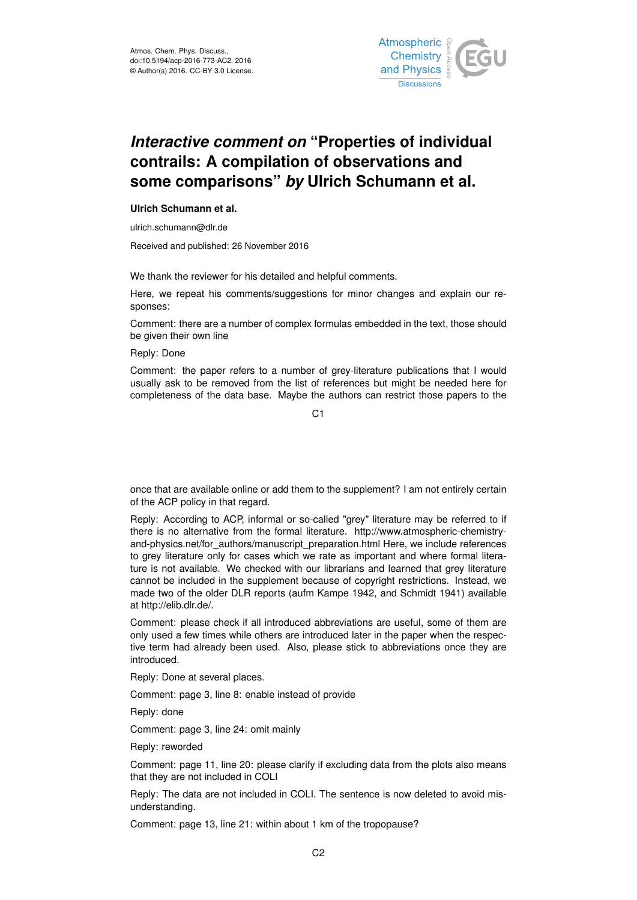

## *Interactive comment on* **"Properties of individual contrails: A compilation of observations and some comparisons"** *by* **Ulrich Schumann et al.**

## **Ulrich Schumann et al.**

ulrich.schumann@dlr.de

Received and published: 26 November 2016

We thank the reviewer for his detailed and helpful comments.

Here, we repeat his comments/suggestions for minor changes and explain our responses:

Comment: there are a number of complex formulas embedded in the text, those should be given their own line

Reply: Done

Comment: the paper refers to a number of grey-literature publications that I would usually ask to be removed from the list of references but might be needed here for completeness of the data base. Maybe the authors can restrict those papers to the

C1

once that are available online or add them to the supplement? I am not entirely certain of the ACP policy in that regard.

Reply: According to ACP, informal or so-called "grey" literature may be referred to if there is no alternative from the formal literature. http://www.atmospheric-chemistryand-physics.net/for\_authors/manuscript\_preparation.html Here, we include references to grey literature only for cases which we rate as important and where formal literature is not available. We checked with our librarians and learned that grey literature cannot be included in the supplement because of copyright restrictions. Instead, we made two of the older DLR reports (aufm Kampe 1942, and Schmidt 1941) available at http://elib.dlr.de/.

Comment: please check if all introduced abbreviations are useful, some of them are only used a few times while others are introduced later in the paper when the respective term had already been used. Also, please stick to abbreviations once they are introduced.

Reply: Done at several places.

Comment: page 3, line 8: enable instead of provide

Reply: done

Comment: page 3, line 24: omit mainly

Reply: reworded

Comment: page 11, line 20: please clarify if excluding data from the plots also means that they are not included in COLI

Reply: The data are not included in COLI. The sentence is now deleted to avoid misunderstanding.

Comment: page 13, line 21: within about 1 km of the tropopause?